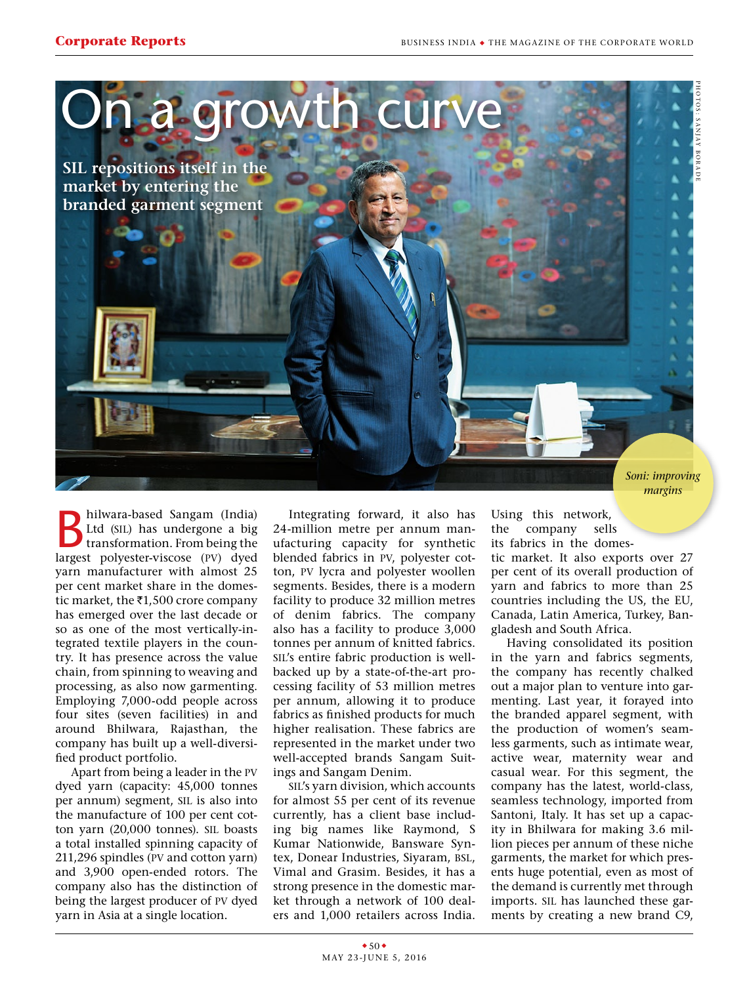

**B**hilwara-based Sangam (India)<br>Ltd (SIL) has undergone a big<br>transformation. From being the<br>largest polyester viscose (N) dyad Ltd (sil) has undergone a big transformation. From being the largest polyester-viscose (pv) dyed yarn manufacturer with almost 25 per cent market share in the domestic market, the  $\overline{\epsilon}$ 1,500 crore company has emerged over the last decade or so as one of the most vertically-integrated textile players in the country. It has presence across the value chain, from spinning to weaving and processing, as also now garmenting. Employing 7,000-odd people across four sites (seven facilities) in and around Bhilwara, Rajasthan, the company has built up a well-diversified product portfolio.

Apart from being a leader in the pv dyed yarn (capacity: 45,000 tonnes per annum) segment, sil is also into the manufacture of 100 per cent cotton yarn (20,000 tonnes). sil boasts a total installed spinning capacity of 211,296 spindles (pv and cotton yarn) and 3,900 open-ended rotors. The company also has the distinction of being the largest producer of pv dyed yarn in Asia at a single location.

Integrating forward, it also has 24-million metre per annum manufacturing capacity for synthetic blended fabrics in pv, polyester cotton, pv lycra and polyester woollen segments. Besides, there is a modern facility to produce 32 million metres of denim fabrics. The company also has a facility to produce 3,000 tonnes per annum of knitted fabrics. sil's entire fabric production is wellbacked up by a state-of-the-art processing facility of 53 million metres per annum, allowing it to produce fabrics as finished products for much higher realisation. These fabrics are represented in the market under two well-accepted brands Sangam Suitings and Sangam Denim.

sil's yarn division, which accounts for almost 55 per cent of its revenue currently, has a client base including big names like Raymond, S Kumar Nationwide, Bansware Syntex, Donear Industries, Siyaram, BSL, Vimal and Grasim. Besides, it has a strong presence in the domestic market through a network of 100 dealers and 1,000 retailers across India.

Using this network, the company sells its fabrics in the domes-

tic market. It also exports over 27 per cent of its overall production of yarn and fabrics to more than 25 countries including the US, the EU, Canada, Latin America, Turkey, Bangladesh and South Africa.

Having consolidated its position in the yarn and fabrics segments, the company has recently chalked out a major plan to venture into garmenting. Last year, it forayed into the branded apparel segment, with the production of women's seamless garments, such as intimate wear, active wear, maternity wear and casual wear. For this segment, the company has the latest, world-class, seamless technology, imported from Santoni, Italy. It has set up a capacity in Bhilwara for making 3.6 million pieces per annum of these niche garments, the market for which presents huge potential, even as most of the demand is currently met through imports. sil has launched these garments by creating a new brand C9,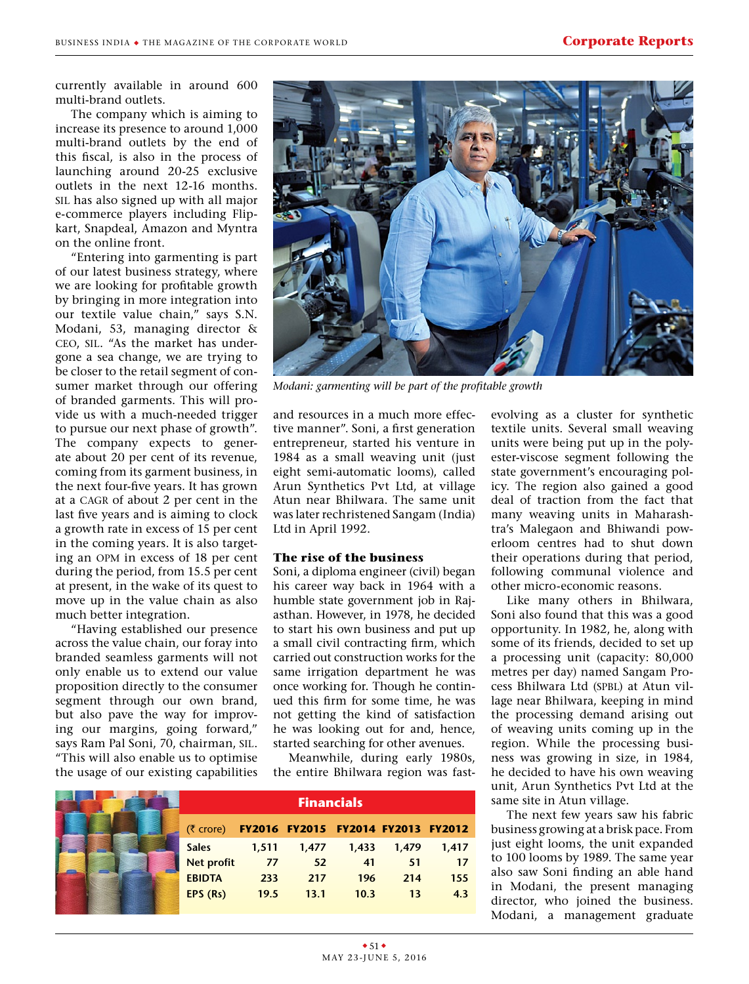currently available in around 600 multi-brand outlets.

The company which is aiming to increase its presence to around 1,000 multi-brand outlets by the end of this fiscal, is also in the process of launching around 20-25 exclusive outlets in the next 12-16 months. sil has also signed up with all major e-commerce players including Flipkart, Snapdeal, Amazon and Myntra on the online front.

"Entering into garmenting is part of our latest business strategy, where we are looking for profitable growth by bringing in more integration into our textile value chain," says S.N. Modani, 53, managing director & ceo, sil. "As the market has undergone a sea change, we are trying to be closer to the retail segment of consumer market through our offering of branded garments. This will provide us with a much-needed trigger to pursue our next phase of growth". The company expects to generate about 20 per cent of its revenue, coming from its garment business, in the next four-five years. It has grown at a CAGR of about 2 per cent in the last five years and is aiming to clock a growth rate in excess of 15 per cent in the coming years. It is also targeting an opm in excess of 18 per cent during the period, from 15.5 per cent at present, in the wake of its quest to move up in the value chain as also much better integration.

"Having established our presence across the value chain, our foray into branded seamless garments will not only enable us to extend our value proposition directly to the consumer segment through our own brand, but also pave the way for improving our margins, going forward," says Ram Pal Soni, 70, chairman, sil. "This will also enable us to optimise the usage of our existing capabilities



*Modani: garmenting will be part of the profitable growth*

and resources in a much more effective manner". Soni, a first generation entrepreneur, started his venture in 1984 as a small weaving unit (just eight semi-automatic looms), called Arun Synthetics Pvt Ltd, at village Atun near Bhilwara. The same unit was later rechristened Sangam (India) Ltd in April 1992.

## **The rise of the business**

Soni, a diploma engineer (civil) began his career way back in 1964 with a humble state government job in Rajasthan. However, in 1978, he decided to start his own business and put up a small civil contracting firm, which carried out construction works for the same irrigation department he was once working for. Though he continued this firm for some time, he was not getting the kind of satisfaction he was looking out for and, hence, started searching for other avenues.

Meanwhile, during early 1980s, the entire Bhilwara region was fast-

|                   | <b>Financials</b> |                                    |       |       |       |  |  |
|-------------------|-------------------|------------------------------------|-------|-------|-------|--|--|
| (₹ crore)         |                   | FY2016 FY2015 FY2014 FY2013 FY2012 |       |       |       |  |  |
| <b>Sales</b>      | 1,511             | 1,477                              | 1,433 | 1,479 | 1.417 |  |  |
| <b>Net profit</b> | 77                | 52                                 | 41    | 51    | 17    |  |  |
| <b>EBIDTA</b>     | 233               | 217                                | 196   | 214   | 155   |  |  |
| EPS(Rs)           | 19.5              | 13.1                               | 10.3  | 13    | 4.3   |  |  |

evolving as a cluster for synthetic textile units. Several small weaving units were being put up in the polyester-viscose segment following the state government's encouraging policy. The region also gained a good deal of traction from the fact that many weaving units in Maharashtra's Malegaon and Bhiwandi powerloom centres had to shut down their operations during that period, following communal violence and other micro-economic reasons.

Like many others in Bhilwara, Soni also found that this was a good opportunity. In 1982, he, along with some of its friends, decided to set up a processing unit (capacity: 80,000 metres per day) named Sangam Process Bhilwara Ltd (SPBL) at Atun village near Bhilwara, keeping in mind the processing demand arising out of weaving units coming up in the region. While the processing business was growing in size, in 1984, he decided to have his own weaving unit, Arun Synthetics Pvt Ltd at the same site in Atun village.

The next few years saw his fabric business growing at a brisk pace. From just eight looms, the unit expanded to 100 looms by 1989. The same year also saw Soni finding an able hand in Modani, the present managing director, who joined the business. Modani, a management graduate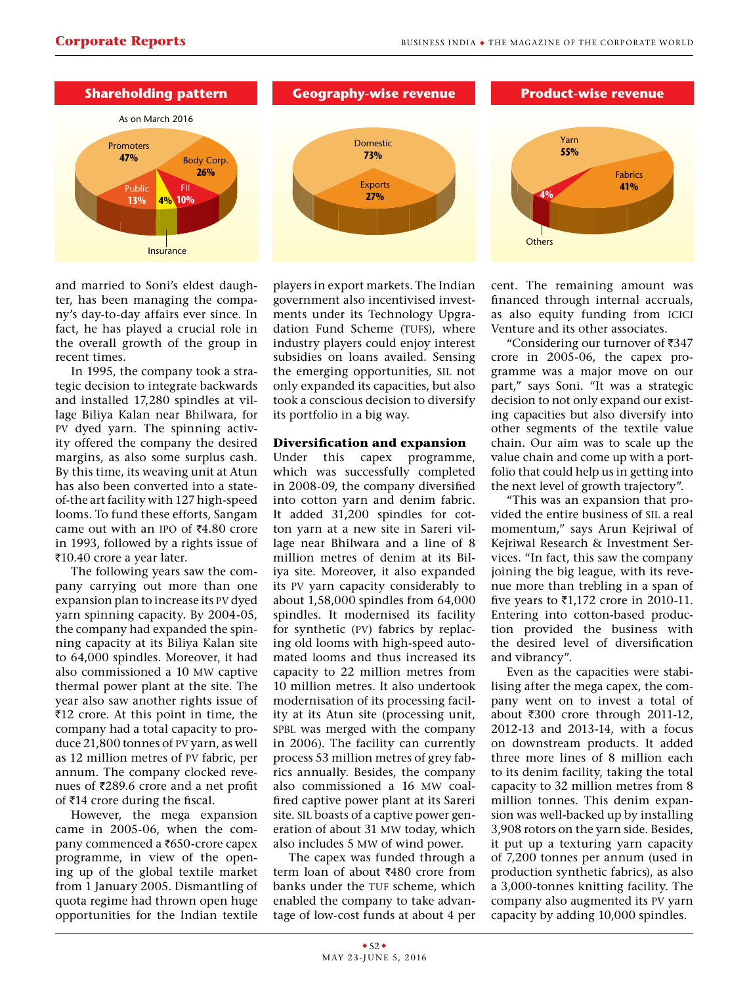

and married to Soni's eldest daughter, has been managing the company's day-to-day affairs ever since. In fact, he has played a crucial role in the overall growth of the group in recent times.

In 1995, the company took a strategic decision to integrate backwards and installed 17,280 spindles at village Biliya Kalan near Bhilwara, for pv dyed yarn. The spinning activity offered the company the desired margins, as also some surplus cash. By this time, its weaving unit at Atun has also been converted into a stateof-the art facility with 127 high-speed looms. To fund these efforts, Sangam came out with an IPO of  $\overline{54.80}$  crore in 1993, followed by a rights issue of ₹10.40 crore a year later.

The following years saw the company carrying out more than one expansion plan to increase its pv dyed yarn spinning capacity. By 2004-05, the company had expanded the spinning capacity at its Biliya Kalan site to 64,000 spindles. Moreover, it had also commissioned a 10 mw captive thermal power plant at the site. The year also saw another rights issue of  $\overline{5}12$  crore. At this point in time, the company had a total capacity to produce 21,800 tonnes of pv yarn, as well as 12 million metres of pv fabric, per annum. The company clocked revenues of  $\overline{z}$ 289.6 crore and a net profit of  $\bar{\tau}$ 14 crore during the fiscal.

However, the mega expansion came in 2005-06, when the company commenced a  $\text{\textdegree}650$ -crore capex programme, in view of the opening up of the global textile market from 1 January 2005. Dismantling of quota regime had thrown open huge opportunities for the Indian textile

players in export markets. The Indian government also incentivised investments under its Technology Upgradation Fund Scheme (TUFS), where industry players could enjoy interest subsidies on loans availed. Sensing the emerging opportunities, sil not only expanded its capacities, but also took a conscious decision to diversify its portfolio in a big way.

## **Diversification and expansion**

Under this capex programme, which was successfully completed in 2008-09, the company diversified into cotton yarn and denim fabric. It added 31,200 spindles for cotton yarn at a new site in Sareri village near Bhilwara and a line of 8 million metres of denim at its Biliya site. Moreover, it also expanded its pv yarn capacity considerably to about 1,58,000 spindles from 64,000 spindles. It modernised its facility for synthetic (pv) fabrics by replacing old looms with high-speed automated looms and thus increased its capacity to 22 million metres from 10 million metres. It also undertook modernisation of its processing facility at its Atun site (processing unit, spbl was merged with the company in 2006). The facility can currently process 53 million metres of grey fabrics annually. Besides, the company also commissioned a 16 mw coalfired captive power plant at its Sareri site. sil boasts of a captive power generation of about 31 mw today, which also includes 5 mw of wind power.

The capex was funded through a term loan of about ₹480 crore from banks under the TUF scheme, which enabled the company to take advantage of low-cost funds at about 4 per cent. The remaining amount was financed through internal accruals, as also equity funding from icici Venture and its other associates.

"Considering our turnover of  $\overline{3}347$ crore in 2005-06, the capex programme was a major move on our part," says Soni. "It was a strategic decision to not only expand our existing capacities but also diversify into other segments of the textile value chain. Our aim was to scale up the value chain and come up with a portfolio that could help us in getting into the next level of growth trajectory".

"This was an expansion that provided the entire business of sil a real momentum," says Arun Kejriwal of Kejriwal Research & Investment Services. "In fact, this saw the company joining the big league, with its revenue more than trebling in a span of five years to  $\text{\textsterling}1,172$  crore in 2010-11. Entering into cotton-based production provided the business with the desired level of diversification and vibrancy".

Even as the capacities were stabilising after the mega capex, the company went on to invest a total of about  $\overline{300}$  crore through 2011-12. 2012-13 and 2013-14, with a focus on downstream products. It added three more lines of 8 million each to its denim facility, taking the total capacity to 32 million metres from 8 million tonnes. This denim expansion was well-backed up by installing 3,908 rotors on the yarn side. Besides, it put up a texturing yarn capacity of 7,200 tonnes per annum (used in production synthetic fabrics), as also a 3,000-tonnes knitting facility. The company also augmented its pv yarn capacity by adding 10,000 spindles.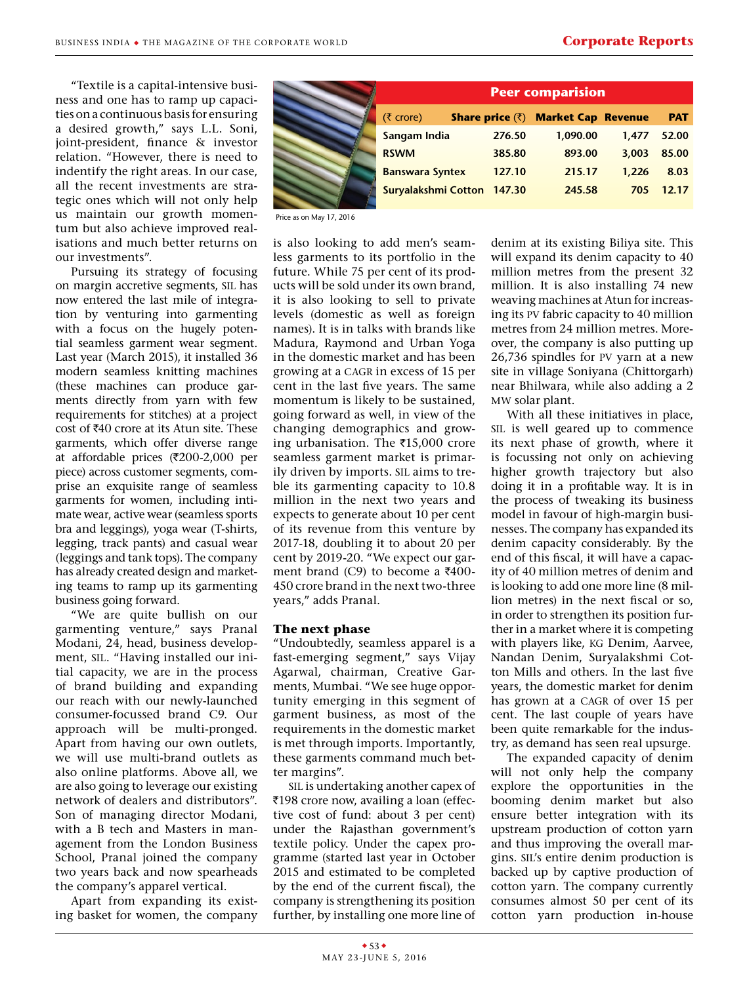"Textile is a capital-intensive business and one has to ramp up capacities on a continuous basis for ensuring a desired growth," says L.L. Soni, joint-president, finance & investor relation. "However, there is need to indentify the right areas. In our case, all the recent investments are strategic ones which will not only help us maintain our growth momentum but also achieve improved realisations and much better returns on our investments".

Pursuing its strategy of focusing on margin accretive segments, sil has now entered the last mile of integration by venturing into garmenting with a focus on the hugely potential seamless garment wear segment. Last year (March 2015), it installed 36 modern seamless knitting machines (these machines can produce garments directly from yarn with few requirements for stitches) at a project cost of  $\text{\texttt{\$40}}$  crore at its Atun site. These garments, which offer diverse range at affordable prices ( $\overline{\tau}200$ -2,000 per piece) across customer segments, comprise an exquisite range of seamless garments for women, including intimate wear, active wear (seamless sports bra and leggings), yoga wear (T-shirts, legging, track pants) and casual wear (leggings and tank tops). The company has already created design and marketing teams to ramp up its garmenting business going forward.

"We are quite bullish on our garmenting venture," says Pranal Modani, 24, head, business development, sil. "Having installed our initial capacity, we are in the process of brand building and expanding our reach with our newly-launched consumer-focussed brand C9. Our approach will be multi-pronged. Apart from having our own outlets, we will use multi-brand outlets as also online platforms. Above all, we are also going to leverage our existing network of dealers and distributors". Son of managing director Modani, with a B tech and Masters in management from the London Business School, Pranal joined the company two years back and now spearheads the company's apparel vertical.

Apart from expanding its existing basket for women, the company

| <b>Peer comparision</b>    |        |                                                                  |       |            |  |  |  |
|----------------------------|--------|------------------------------------------------------------------|-------|------------|--|--|--|
| (₹ crore)                  |        | <b>Share price <math>(\bar{\zeta})</math> Market Cap Revenue</b> |       | <b>PAT</b> |  |  |  |
| Sangam India               | 276.50 | 1,090.00                                                         | 1.477 | 52.00      |  |  |  |
| <b>RSWM</b>                | 385.80 | 893.00                                                           | 3,003 | 85.00      |  |  |  |
| <b>Banswara Syntex</b>     | 127.10 | 215.17                                                           | 1,226 | 8.03       |  |  |  |
| <b>Suryalakshmi Cotton</b> | 147.30 | 245.58                                                           | 705   | 12.17      |  |  |  |

Price as on May 17, 2016

is also looking to add men's seamless garments to its portfolio in the future. While 75 per cent of its products will be sold under its own brand, it is also looking to sell to private levels (domestic as well as foreign names). It is in talks with brands like Madura, Raymond and Urban Yoga in the domestic market and has been growing at a CAGR in excess of 15 per cent in the last five years. The same momentum is likely to be sustained, going forward as well, in view of the changing demographics and growing urbanisation. The  $\overline{515,000}$  crore seamless garment market is primarily driven by imports. sil aims to treble its garmenting capacity to 10.8 million in the next two years and expects to generate about 10 per cent of its revenue from this venture by 2017-18, doubling it to about 20 per cent by 2019-20. "We expect our garment brand  $(C9)$  to become a  $\overline{5}400$ -450 crore brand in the next two-three years," adds Pranal.

## **The next phase**

"Undoubtedly, seamless apparel is a fast-emerging segment," says Vijay Agarwal, chairman, Creative Garments, Mumbai. "We see huge opportunity emerging in this segment of garment business, as most of the requirements in the domestic market is met through imports. Importantly, these garments command much better margins".

sil is undertaking another capex of ₹198 crore now, availing a loan (effective cost of fund: about 3 per cent) under the Rajasthan government's textile policy. Under the capex programme (started last year in October 2015 and estimated to be completed by the end of the current fiscal), the company is strengthening its position further, by installing one more line of

denim at its existing Biliya site. This will expand its denim capacity to 40 million metres from the present 32 million. It is also installing 74 new weaving machines at Atun for increasing its pv fabric capacity to 40 million metres from 24 million metres. Moreover, the company is also putting up 26,736 spindles for pv yarn at a new site in village Soniyana (Chittorgarh) near Bhilwara, while also adding a 2 mw solar plant.

With all these initiatives in place, sil is well geared up to commence its next phase of growth, where it is focussing not only on achieving higher growth trajectory but also doing it in a profitable way. It is in the process of tweaking its business model in favour of high-margin businesses. The company has expanded its denim capacity considerably. By the end of this fiscal, it will have a capacity of 40 million metres of denim and is looking to add one more line (8 million metres) in the next fiscal or so, in order to strengthen its position further in a market where it is competing with players like, kg Denim, Aarvee, Nandan Denim, Suryalakshmi Cotton Mills and others. In the last five years, the domestic market for denim has grown at a CAGR of over 15 per cent. The last couple of years have been quite remarkable for the industry, as demand has seen real upsurge.

The expanded capacity of denim will not only help the company explore the opportunities in the booming denim market but also ensure better integration with its upstream production of cotton yarn and thus improving the overall margins. sil's entire denim production is backed up by captive production of cotton yarn. The company currently consumes almost 50 per cent of its cotton yarn production in-house